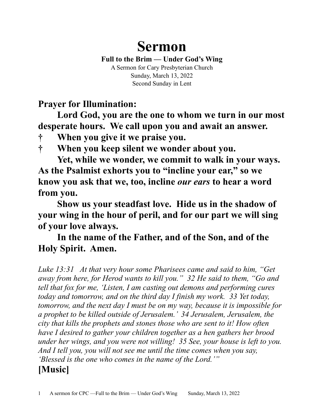# **Sermon**

**Full to the Brim — Under God's Wing**

A Sermon for Cary Presbyterian Church Sunday, March 13, 2022 Second Sunday in Lent

**Prayer for Illumination:**

**Lord God, you are the one to whom we turn in our most desperate hours. We call upon you and await an answer.** 

**† When you give it we praise you.** 

**† When you keep silent we wonder about you.** 

**Yet, while we wonder, we commit to walk in your ways. As the Psalmist exhorts you to "incline your ear," so we know you ask that we, too, incline** *our ears* **to hear a word from you.**

**Show us your steadfast love. Hide us in the shadow of your wing in the hour of peril, and for our part we will sing of your love always.**

**In the name of the Father, and of the Son, and of the Holy Spirit. Amen.**

*Luke 13:31 At that very hour some Pharisees came and said to him, "Get away from here, for Herod wants to kill you." 32 He said to them, "Go and tell that fox for me, 'Listen, I am casting out demons and performing cures today and tomorrow, and on the third day I finish my work. 33 Yet today, tomorrow, and the next day I must be on my way, because it is impossible for a prophet to be killed outside of Jerusalem.' 34 Jerusalem, Jerusalem, the city that kills the prophets and stones those who are sent to it! How often have I desired to gather your children together as a hen gathers her brood under her wings, and you were not willing! 35 See, your house is left to you. And I tell you, you will not see me until the time comes when you say, 'Blessed is the one who comes in the name of the Lord.'"*

## **[Music]**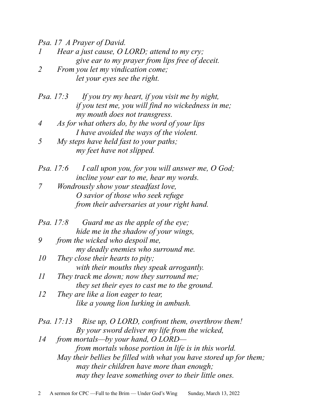*Psa. 17 A Prayer of David.* 

- *Hear a just cause, O LORD; attend to my cry; give ear to my prayer from lips free of deceit.*
- *2 From you let my vindication come; let your eyes see the right.*
- *Psa. 17:3 If you try my heart, if you visit me by night, if you test me, you will find no wickedness in me; my mouth does not transgress.*
- *4 As for what others do, by the word of your lips I have avoided the ways of the violent.*
- *5 My steps have held fast to your paths; my feet have not slipped.*
- *Psa. 17:6 I call upon you, for you will answer me, O God; incline your ear to me, hear my words.*
- *7 Wondrously show your steadfast love, O savior of those who seek refuge from their adversaries at your right hand.*
- *Psa. 17:8 Guard me as the apple of the eye; hide me in the shadow of your wings,*
- *9 from the wicked who despoil me, my deadly enemies who surround me.*
- *10 They close their hearts to pity; with their mouths they speak arrogantly.*
- *11 They track me down; now they surround me; they set their eyes to cast me to the ground.*
- *12 They are like a lion eager to tear, like a young lion lurking in ambush.*
- *Psa. 17:13 Rise up, O LORD, confront them, overthrow them! By your sword deliver my life from the wicked,*
- *14 from mortals—by your hand, O LORD from mortals whose portion in life is in this world. May their bellies be filled with what you have stored up for them; may their children have more than enough; may they leave something over to their little ones.*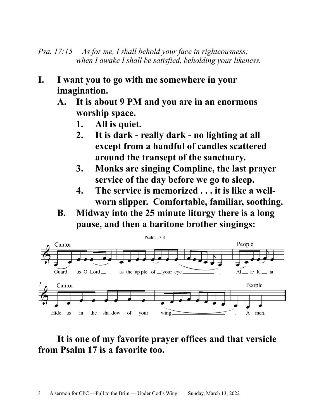*Psa. 17:15 As for me, I shall behold your face in righteousness; when I awake I shall be satisfied, beholding your likeness.*

- **I. I want you to go with me somewhere in your imagination.**
	- **A. It is about 9 PM and you are in an enormous worship space.**
		- **1. All is quiet.**
		- **2. It is dark really dark no lighting at all except from a handful of candles scattered around the transept of the sanctuary.**
		- **3. Monks are singing Compline, the last prayer service of the day before we go to sleep.**
		- **4. The service is memorized . . . it is like a wellworn slipper. Comfortable, familiar, soothing.**
	- **B. Midway into the 25 minute liturgy there is a long pause, and then a baritone brother singings:**



## **It is one of my favorite prayer offices and that versicle from Psalm 17 is a favorite too.**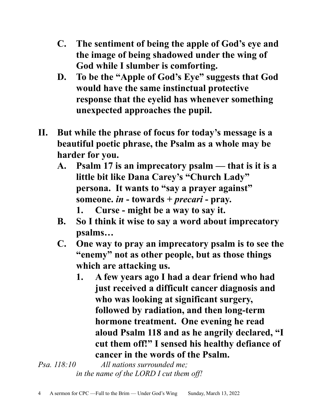- **C. The sentiment of being the apple of God's eye and the image of being shadowed under the wing of God while I slumber is comforting.**
- **D. To be the "Apple of God's Eye" suggests that God would have the same instinctual protective response that the eyelid has whenever something unexpected approaches the pupil.**
- **II. But while the phrase of focus for today's message is a beautiful poetic phrase, the Psalm as a whole may be harder for you.**
	- **A. Psalm 17 is an imprecatory psalm that is it is a little bit like Dana Carey's "Church Lady" persona. It wants to "say a prayer against" someone.** *in* **- towards +** *precari* **- pray. 1. Curse - might be a way to say it.**
	- **B. So I think it wise to say a word about imprecatory psalms…**
	- **C. One way to pray an imprecatory psalm is to see the "enemy" not as other people, but as those things which are attacking us.**
		- **1. A few years ago I had a dear friend who had just received a difficult cancer diagnosis and who was looking at significant surgery, followed by radiation, and then long-term hormone treatment. One evening he read aloud Psalm 118 and as he angrily declared, "I cut them off!" I sensed his healthy defiance of cancer in the words of the Psalm.**

*Psa. 118:10 All nations surrounded me; in the name of the LORD I cut them off!*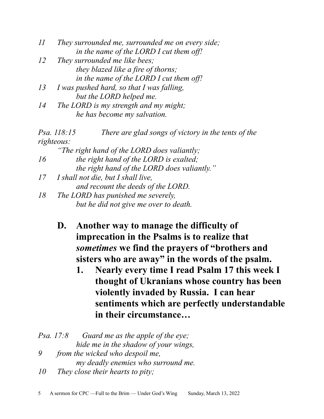| II | They surrounded me, surrounded me on every side; |
|----|--------------------------------------------------|
|    | in the name of the LORD I cut them off!          |

- *12 They surrounded me like bees; they blazed like a fire of thorns; in the name of the LORD I cut them off!*
- *13 I was pushed hard, so that I was falling, but the LORD helped me.*
- *14 The LORD is my strength and my might; he has become my salvation.*

|            | Psa. 118:15<br>There are glad songs of victory in the tents of the |
|------------|--------------------------------------------------------------------|
| righteous: |                                                                    |
|            | "The right hand of the LORD does valiantly;                        |
| 16         | the right hand of the LORD is exalted;                             |
|            | the right hand of the LORD does valiantly."                        |
| 17         | I shall not die, but I shall live,                                 |
|            | and recount the deeds of the LORD.                                 |
| 18         | The LORD has punished me severely,                                 |
|            | but he did not give me over to death.                              |

- **D. Another way to manage the difficulty of imprecation in the Psalms is to realize that**  *sometimes* **we find the prayers of "brothers and sisters who are away" in the words of the psalm.**
	- **1. Nearly every time I read Psalm 17 this week I thought of Ukranians whose country has been violently invaded by Russia. I can hear sentiments which are perfectly understandable in their circumstance…**

*Psa. 17:8 Guard me as the apple of the eye; hide me in the shadow of your wings, 9 from the wicked who despoil me, my deadly enemies who surround me.* 

*10 They close their hearts to pity;*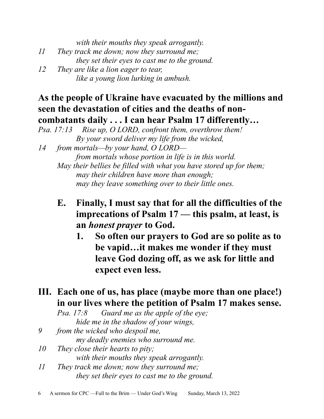*with their mouths they speak arrogantly. 11 They track me down; now they surround me; they set their eyes to cast me to the ground. 12 They are like a lion eager to tear, like a young lion lurking in ambush.*

### **As the people of Ukraine have evacuated by the millions and seen the devastation of cities and the deaths of noncombatants daily . . . I can hear Psalm 17 differently…**

*14 from mortals—by your hand, O LORD from mortals whose portion in life is in this world. May their bellies be filled with what you have stored up for them;*

*may their children have more than enough; may they leave something over to their little ones.*

**E. Finally, I must say that for all the difficulties of the imprecations of Psalm 17 — this psalm, at least, is an** *honest prayer* **to God.**

**1. So often our prayers to God are so polite as to be vapid…it makes me wonder if they must leave God dozing off, as we ask for little and expect even less.** 

### **III. Each one of us, has place (maybe more than one place!) in our lives where the petition of Psalm 17 makes sense.**

*Psa. 17:8 Guard me as the apple of the eye; hide me in the shadow of your wings,* 

*9 from the wicked who despoil me,*

*my deadly enemies who surround me.* 

- *10 They close their hearts to pity; with their mouths they speak arrogantly.*
- *11 They track me down; now they surround me; they set their eyes to cast me to the ground.*

*Psa. 17:13 Rise up, O LORD, confront them, overthrow them! By your sword deliver my life from the wicked,*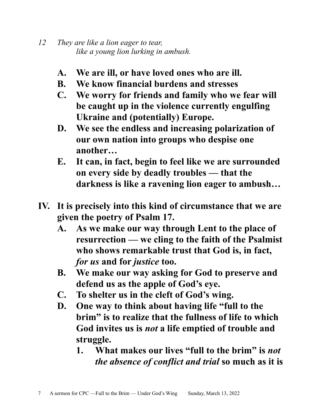- *12 They are like a lion eager to tear, like a young lion lurking in ambush.*
	- **A. We are ill, or have loved ones who are ill.**
	- **B. We know financial burdens and stresses**
	- **C. We worry for friends and family who we fear will be caught up in the violence currently engulfing Ukraine and (potentially) Europe.**
	- **D. We see the endless and increasing polarization of our own nation into groups who despise one another…**
	- **E. It can, in fact, begin to feel like we are surrounded on every side by deadly troubles — that the darkness is like a ravening lion eager to ambush…**
- **IV. It is precisely into this kind of circumstance that we are given the poetry of Psalm 17.**
	- **A. As we make our way through Lent to the place of resurrection — we cling to the faith of the Psalmist who shows remarkable trust that God is, in fact,**  *for us* **and for** *justice* **too.**
	- **B. We make our way asking for God to preserve and defend us as the apple of God's eye.**
	- **C. To shelter us in the cleft of God's wing.**
	- **D. One way to think about having life "full to the brim" is to realize that the fullness of life to which God invites us is** *not* **a life emptied of trouble and struggle.**
		- **1. What makes our lives "full to the brim" is** *not the absence of conflict and trial* **so much as it is**